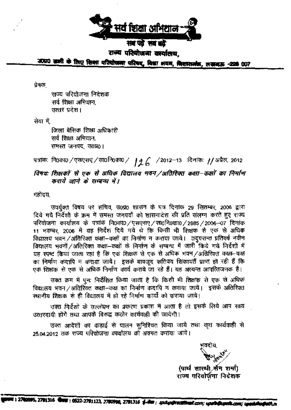

संख पर्वे सब बढें राज्य परियोजना कार्यालय.

जगा0 जाती के लिए शिका यरियोजना परिषद, विश्वा अवन, विशासनंज, लखबऊ -228 007

प्रेषक

राज्य परियोजना निदेशक सर्व शिक्षा अभिथान. उत्तर प्रदेश।

सेवा में.

जिला बेसिक शिक्षा अधिकारी सर्व शिक्षा अभियान. समस्त जनपद, उ0प्र01

## पत्रांकः निoकाo /एसएसए /साoनिoकाo / | 4 6 / 2012–13 दिनांकः //अप्रैल, 2012

## विषयः शिक्षकों से एक से अधिक विद्यालय भवन /अतिरिक्त कक्षा–कक्षों का निर्माण कराये जाने के सम्बन्ध में।

महोदय,

उपर्युक्त विषय पर सचिव, उ0प्र0 शासन के पत्र दिनांक 29 सितम्बर, 2006 द्वारा दिये गये निर्देशों के क्रम में समस्त जनपदों को शासनादेश की प्रति संलग्न करते हुए राज्य परियोजना कार्यालय के पत्रांक नि0का0/एसएसए/सा0नि0का0/2685/2006-07 दिनांक 11 नवम्बर, 2006 में यह निर्देश दिये गये थे कि किसी भी शिक्षक से एक से अधिक विद्यालय भवन /अतिरिक्त कक्षा–कक्षों का निर्माण न कराया जाये। तद्परान्त प्रतिवर्ष नवीन विद्यालय भवनों /अतिरिक्त कक्षा-कक्षों के निर्माण के सम्बन्ध में जारी किये गये निर्देशों में यह स्पष्ट किया जाता रहा है कि एक शिक्षक से एक से अधिक भवन/अतिरिक्त कक्षा-कक्ष का निर्माण कदापि न कराया जाये। इसके बावजूद कतिपय शिकायतें प्राप्त हो रही हैं कि एक शिक्षक से एक से अधिक निर्माण कार्य कराये जा रहे हैं। यह अत्यन्त आपत्तिजनक है।

उक्त क्रम में घुन: निर्देशित किया जाता है कि किसी भी शिक्षक से एक से अधिक विद्यालय भवन /अतिरिक्त कक्षा-कक्ष का निर्माण कदापि न कराया जाये। इसके अतिरिक्त स्थानीय शिक्षक से ही विद्यालय में हो रहे निर्माण कार्यों को कराया जाये।

उक्त निर्देशों के उल्लंघन का प्रकरण प्रकाश में आता है तो इसके लिये आप स्वयं उत्तरदायी होंगे तथा आपके विरुद्ध कठोर कार्यवाही की जायेगी।

उक्त आदेशों का कड़ाई से पालन सुनिश्चित किया जाये तथा कृत कार्यवाही से 25.04.2012 तक राज्य परियोजना *कार्याल*य को अवगत कराया जाये।

(पार्थ सारथी सैन शर्मा) राज्य परियोर्जना निदेशक